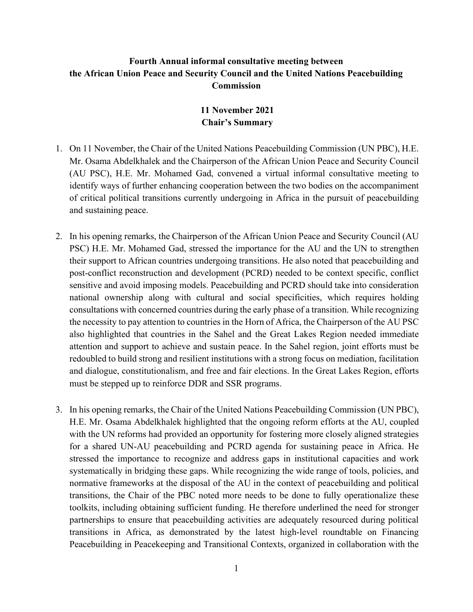## Fourth Annual informal consultative meeting between the African Union Peace and Security Council and the United Nations Peacebuilding Commission

## 11 November 2021 Chair's Summary

- 1. On 11 November, the Chair of the United Nations Peacebuilding Commission (UN PBC), H.E. Mr. Osama Abdelkhalek and the Chairperson of the African Union Peace and Security Council (AU PSC), H.E. Mr. Mohamed Gad, convened a virtual informal consultative meeting to identify ways of further enhancing cooperation between the two bodies on the accompaniment of critical political transitions currently undergoing in Africa in the pursuit of peacebuilding and sustaining peace.
- 2. In his opening remarks, the Chairperson of the African Union Peace and Security Council (AU PSC) H.E. Mr. Mohamed Gad, stressed the importance for the AU and the UN to strengthen their support to African countries undergoing transitions. He also noted that peacebuilding and post-conflict reconstruction and development (PCRD) needed to be context specific, conflict sensitive and avoid imposing models. Peacebuilding and PCRD should take into consideration national ownership along with cultural and social specificities, which requires holding consultations with concerned countries during the early phase of a transition. While recognizing the necessity to pay attention to countries in the Horn of Africa, the Chairperson of the AU PSC also highlighted that countries in the Sahel and the Great Lakes Region needed immediate attention and support to achieve and sustain peace. In the Sahel region, joint efforts must be redoubled to build strong and resilient institutions with a strong focus on mediation, facilitation and dialogue, constitutionalism, and free and fair elections. In the Great Lakes Region, efforts must be stepped up to reinforce DDR and SSR programs.
- 3. In his opening remarks, the Chair of the United Nations Peacebuilding Commission (UN PBC), H.E. Mr. Osama Abdelkhalek highlighted that the ongoing reform efforts at the AU, coupled with the UN reforms had provided an opportunity for fostering more closely aligned strategies for a shared UN-AU peacebuilding and PCRD agenda for sustaining peace in Africa. He stressed the importance to recognize and address gaps in institutional capacities and work systematically in bridging these gaps. While recognizing the wide range of tools, policies, and normative frameworks at the disposal of the AU in the context of peacebuilding and political transitions, the Chair of the PBC noted more needs to be done to fully operationalize these toolkits, including obtaining sufficient funding. He therefore underlined the need for stronger partnerships to ensure that peacebuilding activities are adequately resourced during political transitions in Africa, as demonstrated by the latest high-level roundtable on Financing Peacebuilding in Peacekeeping and Transitional Contexts, organized in collaboration with the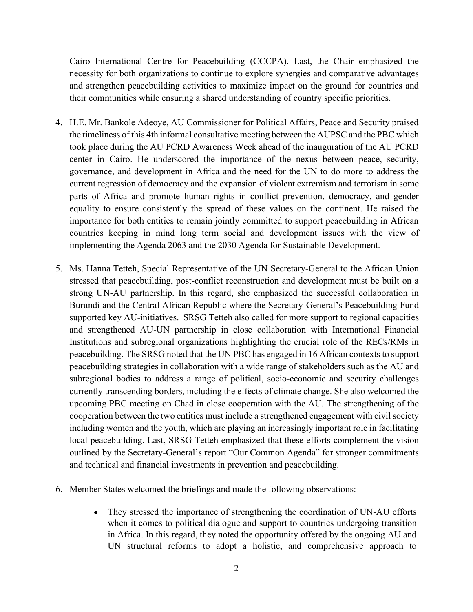Cairo International Centre for Peacebuilding (CCCPA). Last, the Chair emphasized the necessity for both organizations to continue to explore synergies and comparative advantages and strengthen peacebuilding activities to maximize impact on the ground for countries and their communities while ensuring a shared understanding of country specific priorities.

- 4. H.E. Mr. Bankole Adeoye, AU Commissioner for Political Affairs, Peace and Security praised the timeliness of this 4th informal consultative meeting between the AUPSC and the PBC which took place during the AU PCRD Awareness Week ahead of the inauguration of the AU PCRD center in Cairo. He underscored the importance of the nexus between peace, security, governance, and development in Africa and the need for the UN to do more to address the current regression of democracy and the expansion of violent extremism and terrorism in some parts of Africa and promote human rights in conflict prevention, democracy, and gender equality to ensure consistently the spread of these values on the continent. He raised the importance for both entities to remain jointly committed to support peacebuilding in African countries keeping in mind long term social and development issues with the view of implementing the Agenda 2063 and the 2030 Agenda for Sustainable Development.
- 5. Ms. Hanna Tetteh, Special Representative of the UN Secretary-General to the African Union stressed that peacebuilding, post-conflict reconstruction and development must be built on a strong UN-AU partnership. In this regard, she emphasized the successful collaboration in Burundi and the Central African Republic where the Secretary-General's Peacebuilding Fund supported key AU-initiatives. SRSG Tetteh also called for more support to regional capacities and strengthened AU-UN partnership in close collaboration with International Financial Institutions and subregional organizations highlighting the crucial role of the RECs/RMs in peacebuilding. The SRSG noted that the UN PBC has engaged in 16 African contexts to support peacebuilding strategies in collaboration with a wide range of stakeholders such as the AU and subregional bodies to address a range of political, socio-economic and security challenges currently transcending borders, including the effects of climate change. She also welcomed the upcoming PBC meeting on Chad in close cooperation with the AU. The strengthening of the cooperation between the two entities must include a strengthened engagement with civil society including women and the youth, which are playing an increasingly important role in facilitating local peacebuilding. Last, SRSG Tetteh emphasized that these efforts complement the vision outlined by the Secretary-General's report "Our Common Agenda" for stronger commitments and technical and financial investments in prevention and peacebuilding.
- 6. Member States welcomed the briefings and made the following observations:
	- They stressed the importance of strengthening the coordination of UN-AU efforts when it comes to political dialogue and support to countries undergoing transition in Africa. In this regard, they noted the opportunity offered by the ongoing AU and UN structural reforms to adopt a holistic, and comprehensive approach to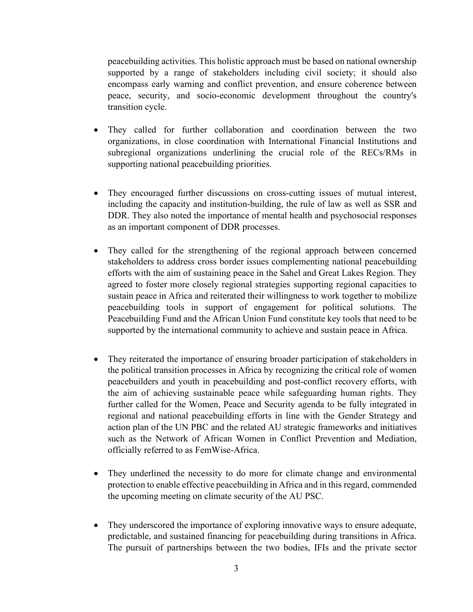peacebuilding activities. This holistic approach must be based on national ownership supported by a range of stakeholders including civil society; it should also encompass early warning and conflict prevention, and ensure coherence between peace, security, and socio-economic development throughout the country's transition cycle.

- They called for further collaboration and coordination between the two organizations, in close coordination with International Financial Institutions and subregional organizations underlining the crucial role of the RECs/RMs in supporting national peacebuilding priorities.
- They encouraged further discussions on cross-cutting issues of mutual interest, including the capacity and institution-building, the rule of law as well as SSR and DDR. They also noted the importance of mental health and psychosocial responses as an important component of DDR processes.
- They called for the strengthening of the regional approach between concerned stakeholders to address cross border issues complementing national peacebuilding efforts with the aim of sustaining peace in the Sahel and Great Lakes Region. They agreed to foster more closely regional strategies supporting regional capacities to sustain peace in Africa and reiterated their willingness to work together to mobilize peacebuilding tools in support of engagement for political solutions. The Peacebuilding Fund and the African Union Fund constitute key tools that need to be supported by the international community to achieve and sustain peace in Africa.
- They reiterated the importance of ensuring broader participation of stakeholders in the political transition processes in Africa by recognizing the critical role of women peacebuilders and youth in peacebuilding and post-conflict recovery efforts, with the aim of achieving sustainable peace while safeguarding human rights. They further called for the Women, Peace and Security agenda to be fully integrated in regional and national peacebuilding efforts in line with the Gender Strategy and action plan of the UN PBC and the related AU strategic frameworks and initiatives such as the Network of African Women in Conflict Prevention and Mediation, officially referred to as FemWise-Africa.
- They underlined the necessity to do more for climate change and environmental protection to enable effective peacebuilding in Africa and in this regard, commended the upcoming meeting on climate security of the AU PSC.
- They underscored the importance of exploring innovative ways to ensure adequate, predictable, and sustained financing for peacebuilding during transitions in Africa. The pursuit of partnerships between the two bodies, IFIs and the private sector